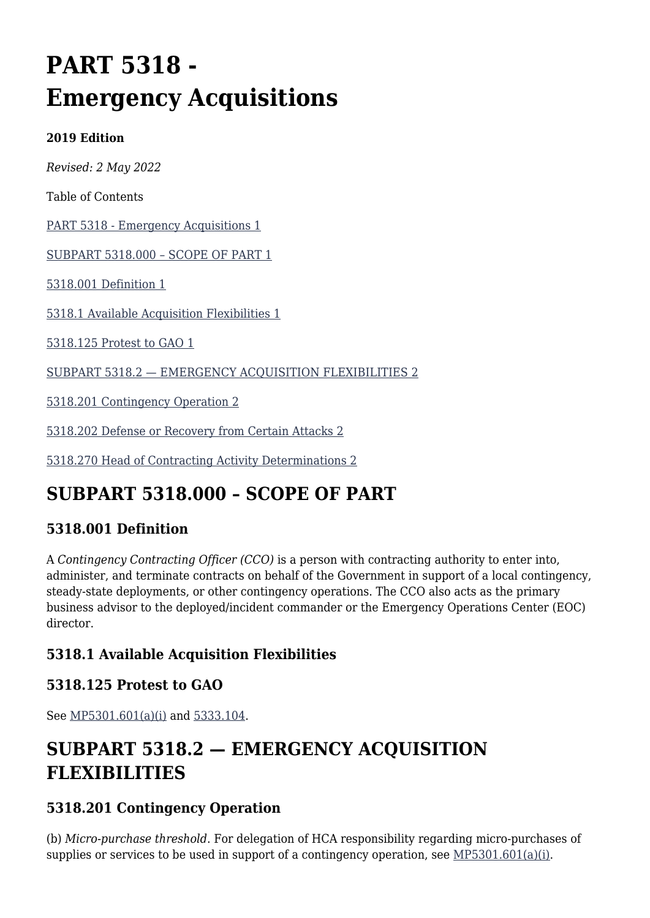# **PART 5318 - Emergency Acquisitions**

#### **2019 Edition**

*Revised: 2 May 2022*

Table of Contents

[PART 5318 - Emergency Acquisitions 1](#page--1-0)

[SUBPART 5318.000 – SCOPE OF PART 1](#page--1-0)

[5318.001 Definition 1](#page--1-0)

[5318.1 Available Acquisition Flexibilities 1](#page--1-0)

[5318.125 Protest to GAO 1](#page--1-0)

[SUBPART 5318.2 — EMERGENCY ACQUISITION FLEXIBILITIES 2](#page--1-0)

[5318.201 Contingency Operation 2](#page--1-0)

[5318.202 Defense or Recovery from Certain Attacks 2](#page--1-0)

[5318.270 Head of Contracting Activity Determinations 2](#page--1-0)

# **SUBPART 5318.000 – SCOPE OF PART**

# **5318.001 Definition**

A *Contingency Contracting Officer (CCO)* is a person with contracting authority to enter into, administer, and terminate contracts on behalf of the Government in support of a local contingency, steady-state deployments, or other contingency operations. The CCO also acts as the primary business advisor to the deployed/incident commander or the Emergency Operations Center (EOC) director.

# **5318.1 Available Acquisition Flexibilities**

#### **5318.125 Protest to GAO**

See [MP5301.601\(a\)\(i\)](https://origin-www.acquisition.gov/%5Brp:link:affars-mp-AFFARS-MP_PART-mp_5301.601(a)(i)%5D#p5318125) and [5333.104.](https://origin-www.acquisition.gov/%5Brp:link:affars-part-5333%5D#p5333104)

# **SUBPART 5318.2 — EMERGENCY ACQUISITION FLEXIBILITIES**

# **5318.201 Contingency Operation**

(b) *Micro-purchase threshold*. For delegation of HCA responsibility regarding micro-purchases of supplies or services to be used in support of a contingency operation, see [MP5301.601\(a\)\(i\).](https://origin-www.acquisition.gov/%5Brp:link:affars-mp-AFFARS-MP_PART-mp_5301.601(a)(i)%5D#p5318201)